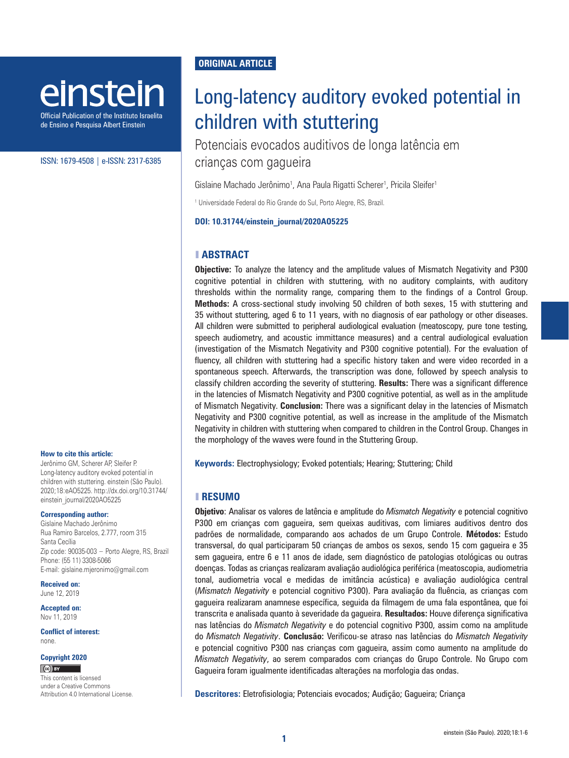# einstein

Official Publication of the Instituto Israelita de Ensino e Pesquisa Albert Einstein

#### ISSN: 1679-4508 | e-ISSN: 2317-6385

#### **How to cite this article:**

Jerônimo GM, Scherer AP, Sleifer P. Long-latency auditory evoked potential in children with stuttering. einstein (São Paulo). 2020;18:eAO5225. [http://dx.doi.org/10.31744/](http://dx.doi.org/10.31744/einstein_journal/2020AO5225) [einstein\\_journal/2020AO5225](http://dx.doi.org/10.31744/einstein_journal/2020AO5225)

#### **Corresponding author:**

Gislaine Machado Jerônimo Rua Ramiro Barcelos, 2.777, room 315 Santa Cecília Zip code: 90035-003 − Porto Alegre, RS, Brazil Phone: (55 11) 3308-5066 E-mail: gislaine.mjeronimo@gmail.com

**Received on:** June 12, 2019

**Accepted on:** Nov 11, 2019

**Conflict of interest:**  none.

#### **Copyright 2020**

 $(G)$  BY

This content is licensed under a Creative Commons Attribution 4.0 International License.

# **ORIGINAL ARTICLE**

# Long-latency auditory evoked potential in children with stuttering

Potenciais evocados auditivos de longa latência em crianças com gagueira

Gislaine Machado Jerônimo<sup>1</sup>, Ana Paula Rigatti Scherer<sup>1</sup>, Pricila Sleifer<sup>1</sup>

1 Universidade Federal do Rio Grande do Sul, Porto Alegre, RS, Brazil.

**DOI: 10.31744/einstein\_journal/2020AO5225**

#### ❚ **ABSTRACT**

**Objective:** To analyze the latency and the amplitude values of Mismatch Negativity and P300 cognitive potential in children with stuttering, with no auditory complaints, with auditory thresholds within the normality range, comparing them to the findings of a Control Group. **Methods:** A cross-sectional study involving 50 children of both sexes, 15 with stuttering and 35 without stuttering, aged 6 to 11 years, with no diagnosis of ear pathology or other diseases. All children were submitted to peripheral audiological evaluation (meatoscopy, pure tone testing, speech audiometry, and acoustic immittance measures) and a central audiological evaluation (investigation of the Mismatch Negativity and P300 cognitive potential). For the evaluation of fluency, all children with stuttering had a specific history taken and were video recorded in a spontaneous speech. Afterwards, the transcription was done, followed by speech analysis to classify children according the severity of stuttering. **Results:** There was a significant difference in the latencies of Mismatch Negativity and P300 cognitive potential, as well as in the amplitude of Mismatch Negativity. **Conclusion:** There was a significant delay in the latencies of Mismatch Negativity and P300 cognitive potential, as well as increase in the amplitude of the Mismatch Negativity in children with stuttering when compared to children in the Control Group. Changes in the morphology of the waves were found in the Stuttering Group.

**Keywords:** Electrophysiology; Evoked potentials; Hearing; Stuttering; Child

#### ❚ **RESUMO**

**Objetivo**: Analisar os valores de latência e amplitude do *Mismatch Negativity* e potencial cognitivo P300 em crianças com gagueira, sem queixas auditivas, com limiares auditivos dentro dos padrões de normalidade, comparando aos achados de um Grupo Controle. **Métodos:** Estudo transversal, do qual participaram 50 crianças de ambos os sexos, sendo 15 com gagueira e 35 sem gagueira, entre 6 e 11 anos de idade, sem diagnóstico de patologias otológicas ou outras doenças. Todas as crianças realizaram avaliação audiológica periférica (meatoscopia, audiometria tonal, audiometria vocal e medidas de imitância acústica) e avaliação audiológica central (*Mismatch Negativity* e potencial cognitivo P300). Para avaliação da fluência, as crianças com gagueira realizaram anamnese específica, seguida da filmagem de uma fala espontânea, que foi transcrita e analisada quanto à severidade da gagueira. **Resultados:** Houve diferença significativa nas latências do *Mismatch Negativity* e do potencial cognitivo P300, assim como na amplitude do *Mismatch Negativity*. **Conclusão:** Verificou-se atraso nas latências do *Mismatch Negativity* e potencial cognitivo P300 nas crianças com gagueira, assim como aumento na amplitude do *Mismatch Negativity*, ao serem comparados com crianças do Grupo Controle. No Grupo com Gagueira foram igualmente identificadas alterações na morfologia das ondas.

**Descritores:** Eletrofisiologia; Potenciais evocados; Audição; Gagueira; Criança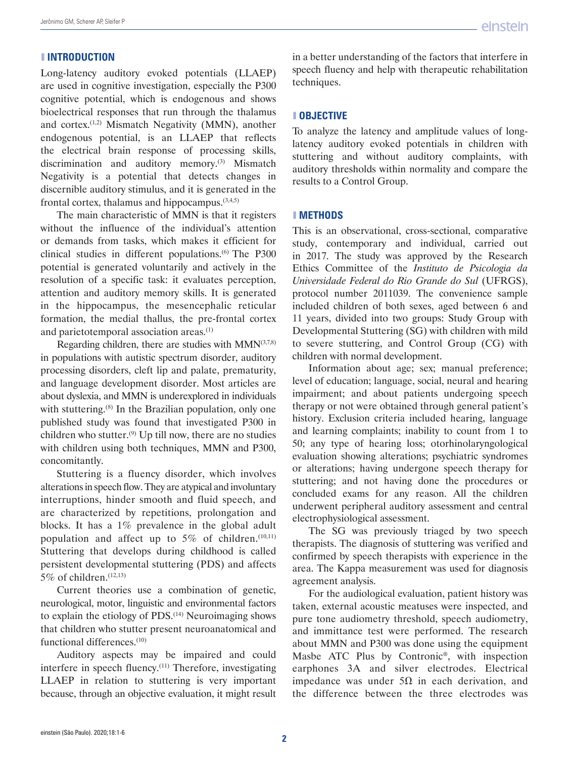## ❚ **INTRODUCTION**

Long-latency auditory evoked potentials (LLAEP) are used in cognitive investigation, especially the P300 cognitive potential, which is endogenous and shows bioelectrical responses that run through the thalamus and cortex.(1,2) Mismatch Negativity (MMN), another endogenous potential, is an LLAEP that reflects the electrical brain response of processing skills, discrimination and auditory memory.<sup>(3)</sup> Mismatch Negativity is a potential that detects changes in discernible auditory stimulus, and it is generated in the frontal cortex, thalamus and hippocampus. $(3,4,5)$ 

The main characteristic of MMN is that it registers without the influence of the individual's attention or demands from tasks, which makes it efficient for clinical studies in different populations.(6) The P300 potential is generated voluntarily and actively in the resolution of a specific task: it evaluates perception, attention and auditory memory skills. It is generated in the hippocampus, the mesencephalic reticular formation, the medial thallus, the pre-frontal cortex and parietotemporal association areas.<sup>(1)</sup>

Regarding children, there are studies with  $MMN^{(3,7,8)}$ in populations with autistic spectrum disorder, auditory processing disorders, cleft lip and palate, prematurity, and language development disorder. Most articles are about dyslexia, and MMN is underexplored in individuals with stuttering.<sup>(8)</sup> In the Brazilian population, only one published study was found that investigated P300 in children who stutter.<sup>(9)</sup> Up till now, there are no studies with children using both techniques, MMN and P300, concomitantly.

Stuttering is a fluency disorder, which involves alterations in speech flow. They are atypical and involuntary interruptions, hinder smooth and fluid speech, and are characterized by repetitions, prolongation and blocks. It has a 1% prevalence in the global adult population and affect up to  $5\%$  of children.<sup>(10,11)</sup> Stuttering that develops during childhood is called persistent developmental stuttering (PDS) and affects 5% of children. $(12,13)$ 

Current theories use a combination of genetic, neurological, motor, linguistic and environmental factors to explain the etiology of PDS.<sup>(14)</sup> Neuroimaging shows that children who stutter present neuroanatomical and functional differences.(10)

Auditory aspects may be impaired and could interfere in speech fluency.<sup>(11)</sup> Therefore, investigating LLAEP in relation to stuttering is very important because, through an objective evaluation, it might result

in a better understanding of the factors that interfere in speech fluency and help with therapeutic rehabilitation techniques.

# ❚ **OBJECTIVE**

To analyze the latency and amplitude values of longlatency auditory evoked potentials in children with stuttering and without auditory complaints, with auditory thresholds within normality and compare the results to a Control Group.

# ❚ **METHODS**

This is an observational, cross-sectional, comparative study, contemporary and individual, carried out in 2017. The study was approved by the Research Ethics Committee of the *Instituto de Psicologia da Universidade Federal do Rio Grande do Sul* (UFRGS), protocol number 2011039. The convenience sample included children of both sexes, aged between 6 and 11 years, divided into two groups: Study Group with Developmental Stuttering (SG) with children with mild to severe stuttering, and Control Group (CG) with children with normal development.

Information about age; sex; manual preference; level of education; language, social, neural and hearing impairment; and about patients undergoing speech therapy or not were obtained through general patient's history. Exclusion criteria included hearing, language and learning complaints; inability to count from 1 to 50; any type of hearing loss; otorhinolaryngological evaluation showing alterations; psychiatric syndromes or alterations; having undergone speech therapy for stuttering; and not having done the procedures or concluded exams for any reason. All the children underwent peripheral auditory assessment and central electrophysiological assessment.

The SG was previously triaged by two speech therapists. The diagnosis of stuttering was verified and confirmed by speech therapists with experience in the area. The Kappa measurement was used for diagnosis agreement analysis.

For the audiological evaluation, patient history was taken, external acoustic meatuses were inspected, and pure tone audiometry threshold, speech audiometry, and immittance test were performed. The research about MMN and P300 was done using the equipment Masbe ATC Plus by Contronic®, with inspection earphones 3A and silver electrodes. Electrical impedance was under 5Ω in each derivation, and the difference between the three electrodes was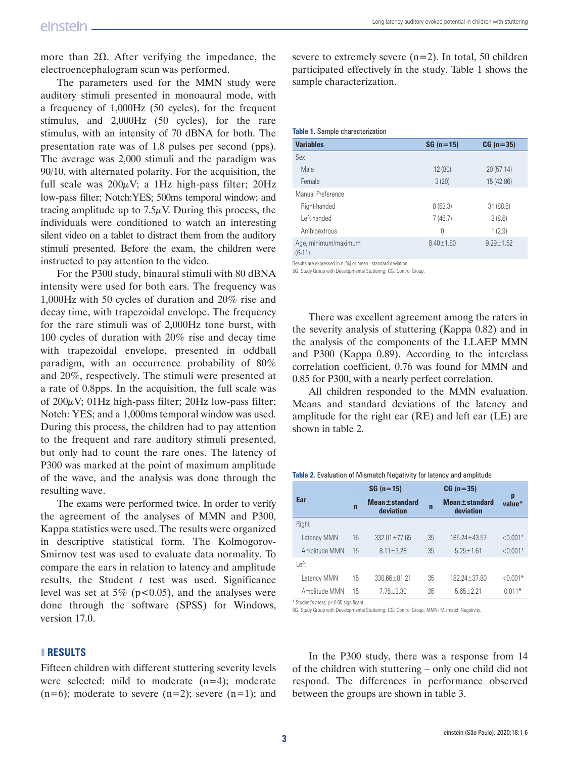more than 2Ω. After verifying the impedance, the electroencephalogram scan was performed.

The parameters used for the MMN study were auditory stimuli presented in monoaural mode, with a frequency of 1,000Hz (50 cycles), for the frequent stimulus, and 2,000Hz (50 cycles), for the rare stimulus, with an intensity of 70 dBNA for both. The presentation rate was of 1.8 pulses per second (pps). The average was 2,000 stimuli and the paradigm was 90/10, with alternated polarity. For the acquisition, the full scale was  $200\mu$ V; a 1Hz high-pass filter;  $20\text{Hz}$ low-pass filter; Notch:YES; 500ms temporal window; and tracing amplitude up to  $7.5\mu$ V. During this process, the individuals were conditioned to watch an interesting silent video on a tablet to distract them from the auditory stimuli presented. Before the exam, the children were instructed to pay attention to the video.

For the P300 study, binaural stimuli with 80 dBNA intensity were used for both ears. The frequency was 1,000Hz with 50 cycles of duration and 20% rise and decay time, with trapezoidal envelope. The frequency for the rare stimuli was of 2,000Hz tone burst, with 100 cycles of duration with 20% rise and decay time with trapezoidal envelope, presented in oddball paradigm, with an occurrence probability of 80% and 20%, respectively. The stimuli were presented at a rate of 0.8pps. In the acquisition, the full scale was of  $200\mu$ V; 01Hz high-pass filter; 20Hz low-pass filter; Notch: YES; and a 1,000ms temporal window was used. During this process, the children had to pay attention to the frequent and rare auditory stimuli presented, but only had to count the rare ones. The latency of P300 was marked at the point of maximum amplitude of the wave, and the analysis was done through the resulting wave.

The exams were performed twice. In order to verify the agreement of the analyses of MMN and P300, Kappa statistics were used. The results were organized in descriptive statistical form. The Kolmogorov-Smirnov test was used to evaluate data normality. To compare the ears in relation to latency and amplitude results, the Student *t* test was used. Significance level was set at 5% ( $p<0.05$ ), and the analyses were done through the software (SPSS) for Windows, version 17.0.

#### ❚ **RESULTS**

Fifteen children with different stuttering severity levels were selected: mild to moderate  $(n=4)$ ; moderate  $(n=6)$ ; moderate to severe  $(n=2)$ ; severe  $(n=1)$ ; and severe to extremely severe  $(n=2)$ . In total, 50 children participated effectively in the study. Table 1 shows the sample characterization.

#### **Table 1.** Sample characterization

| <b>Variables</b>                 | $SG (n = 15)$   | $CG (n = 35)$   |
|----------------------------------|-----------------|-----------------|
| Sex                              |                 |                 |
| Male                             | 12 (80)         | 20 (57.14)      |
| Female                           | 3(20)           | 15 (42.86)      |
| Manual Preference                |                 |                 |
| Right-handed                     | 8(53.3)         | 31(88.6)        |
| I eft-handed                     | 7(46.7)         | 3(8.6)          |
| Ambidextrous                     | $\Omega$        | 1(2.9)          |
| Age, minimum/maximum<br>$(6-11)$ | $8.40 \pm 1.80$ | $9.29 \pm 1.52$ |

Results are expressed in n (%) or mean±standard deviation.

SG: Study Group with Developmental Stuttering; CG: Control Group.

There was excellent agreement among the raters in the severity analysis of stuttering (Kappa 0.82) and in the analysis of the components of the LLAEP MMN and P300 (Kappa 0.89). According to the interclass correlation coefficient, 0.76 was found for MMN and 0.85 for P300, with a nearly perfect correlation.

All children responded to the MMN evaluation. Means and standard deviations of the latency and amplitude for the right ear (RE) and left ear (LE) are shown in table 2.

#### **Table 2.** Evaluation of Mismatch Negativity for latency and amplitude

|               | $SG (n = 15)$  |                                  | $CG (n = 35)$ |                                  |             |
|---------------|----------------|----------------------------------|---------------|----------------------------------|-------------|
| Ear           | $\overline{ }$ | $Mean \pm$ standard<br>deviation | $\mathbf n$   | $Mean \pm standard$<br>deviation | p<br>value* |
| Right         |                |                                  |               |                                  |             |
| Latency MMN   | 15             | $332.01 \pm 77.65$               | 35            | $185.24 \pm 43.57$               | $< 0.001*$  |
| Amplitude MMN | 15             | $8.11 \pm 3.28$                  | 35            | $5.25 \pm 1.61$                  | $< 0.001*$  |
| Left          |                |                                  |               |                                  |             |
| Latency MMN   | 15             | $330.66 \pm 81.21$               | 35            | 182 24 + 37 80                   | $< 0.001*$  |
| Amplitude MMN | 15             | $7.75 \pm 3.30$                  | 35            | $5.65 \pm 2.21$                  | $0.011*$    |

\* Student's *t* test; p≤0.05 significant.

SG: Study Group with Developmental Stuttering; CG: Control Group; MMN: Mismatch Negativity.

In the P300 study, there was a response from 14 of the children with stuttering – only one child did not respond. The differences in performance observed between the groups are shown in table 3.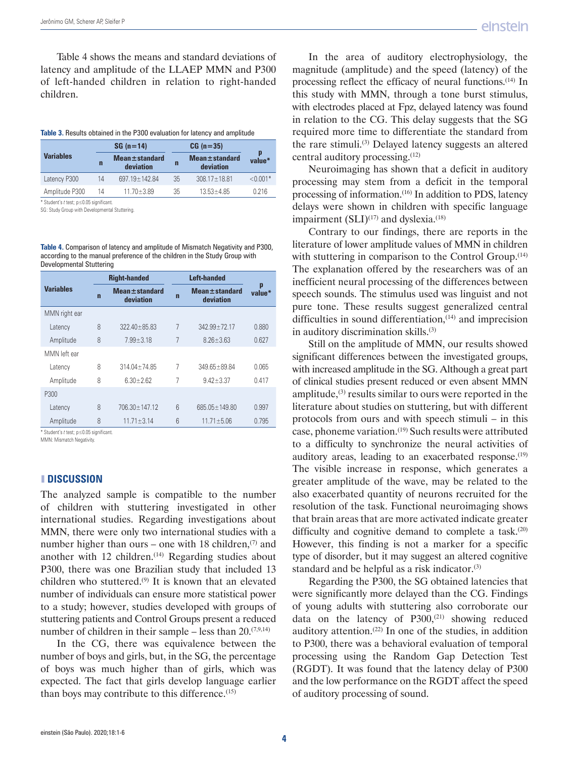Table 4 shows the means and standard deviations of latency and amplitude of the LLAEP MMN and P300 of left-handed children in relation to right-handed children.

| Table 3. Results obtained in the P300 evaluation for latency and amplitude |
|----------------------------------------------------------------------------|
|----------------------------------------------------------------------------|

|                                          |             | $SG (n = 14)$                    |    | $CG (n = 35)$                    |             |
|------------------------------------------|-------------|----------------------------------|----|----------------------------------|-------------|
| <b>Variables</b>                         | $\mathbf n$ | Mean $\pm$ standard<br>deviation | n  | $Mean \pm standard$<br>deviation | p<br>value* |
| Latency P300                             | 14          | 697.19 ± 142.84                  | 35 | $308.17 \pm 18.81$               | $< 0.001*$  |
| Amplitude P300                           | 14          | $11.70 \pm 3.89$                 | 35 | $13.53 \pm 4.85$                 | 0 216       |
| * Student's t test; p ≤0.05 significant. |             |                                  |    |                                  |             |

SG: Study Group with Developmental Stuttering.

**Table 4.** Comparison of latency and amplitude of Mismatch Negativity and P300, according to the manual preference of the children in the Study Group with Developmental Stuttering

|                  | <b>Right-handed</b> |                                  | <b>Left-handed</b> |                                     |             |
|------------------|---------------------|----------------------------------|--------------------|-------------------------------------|-------------|
| <b>Variables</b> | $\overline{ }$      | $Mean \pm standard$<br>deviation | $\mathbf n$        | <b>Mean</b> ± standard<br>deviation | p<br>value* |
| MMN right ear    |                     |                                  |                    |                                     |             |
| Latency          | 8                   | $32240 + 8583$                   | 7                  | $34299+7217$                        | 0.880       |
| Amplitude        | 8                   | $7.99 + 3.18$                    | 7                  | $876 + 363$                         | 0.627       |
| MMN left ear     |                     |                                  |                    |                                     |             |
| Latency          | 8                   | $31404 + 7485$                   | 7                  | $349.65 \pm 89.84$                  | 0.065       |
| Amplitude        | 8                   | $6.30 \pm 2.62$                  | 7                  | $9.42 \pm 3.37$                     | 0.417       |
| P300             |                     |                                  |                    |                                     |             |
| Latency          | 8                   | $706.30 + 147.12$                | $6\overline{6}$    | 685 05 + 149 80                     | 0.997       |
| Amplitude        | 8                   | $11.71 \pm 3.14$                 | $6\overline{6}$    | $11.71 \pm 5.06$                    | 0.795       |

\* Student's *t* test; p≤0.05 significant.

MMN: Mismatch Negativity.

#### ❚ **DISCUSSION**

The analyzed sample is compatible to the number of children with stuttering investigated in other international studies. Regarding investigations about MMN, there were only two international studies with a number higher than ours – one with 18 children, $(7)$  and another with  $12$  children.<sup> $(14)$ </sup> Regarding studies about P300, there was one Brazilian study that included 13 children who stuttered.(9) It is known that an elevated number of individuals can ensure more statistical power to a study; however, studies developed with groups of stuttering patients and Control Groups present a reduced number of children in their sample – less than  $20^{(7,9,14)}$ 

In the CG, there was equivalence between the number of boys and girls, but, in the SG, the percentage of boys was much higher than of girls, which was expected. The fact that girls develop language earlier than boys may contribute to this difference.(15)

In the area of auditory electrophysiology, the magnitude (amplitude) and the speed (latency) of the processing reflect the efficacy of neural functions.(14) In this study with MMN, through a tone burst stimulus, with electrodes placed at Fpz, delayed latency was found in relation to the CG. This delay suggests that the SG required more time to differentiate the standard from the rare stimuli.<sup>(3)</sup> Delayed latency suggests an altered central auditory processing.(12)

Neuroimaging has shown that a deficit in auditory processing may stem from a deficit in the temporal processing of information.(16) In addition to PDS, latency delays were shown in children with specific language impairment (SLI)<sup>(17)</sup> and dyslexia.<sup>(18)</sup>

Contrary to our findings, there are reports in the literature of lower amplitude values of MMN in children with stuttering in comparison to the Control Group.<sup>(14)</sup> The explanation offered by the researchers was of an inefficient neural processing of the differences between speech sounds. The stimulus used was linguist and not pure tone. These results suggest generalized central difficulties in sound differentiation,(14) and imprecision in auditory discrimination skills.<sup>(3)</sup>

Still on the amplitude of MMN, our results showed significant differences between the investigated groups, with increased amplitude in the SG. Although a great part of clinical studies present reduced or even absent MMN amplitude, $(3)$  results similar to ours were reported in the literature about studies on stuttering, but with different protocols from ours and with speech stimuli – in this case, phoneme variation.(19) Such results were attributed to a difficulty to synchronize the neural activities of auditory areas, leading to an exacerbated response.<sup>(19)</sup> The visible increase in response, which generates a greater amplitude of the wave, may be related to the also exacerbated quantity of neurons recruited for the resolution of the task. Functional neuroimaging shows that brain areas that are more activated indicate greater difficulty and cognitive demand to complete a task.<sup>(20)</sup> However, this finding is not a marker for a specific type of disorder, but it may suggest an altered cognitive standard and be helpful as a risk indicator.<sup>(3)</sup>

Regarding the P300, the SG obtained latencies that were significantly more delayed than the CG. Findings of young adults with stuttering also corroborate our data on the latency of  $P300$ ,<sup>(21)</sup> showing reduced auditory attention. $(22)$  In one of the studies, in addition to P300, there was a behavioral evaluation of temporal processing using the Random Gap Detection Test (RGDT). It was found that the latency delay of P300 and the low performance on the RGDT affect the speed of auditory processing of sound.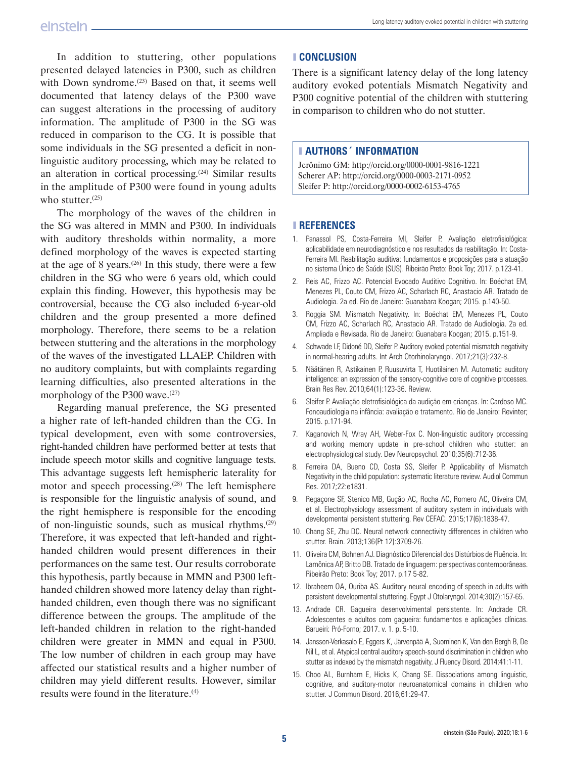In addition to stuttering, other populations presented delayed latencies in P300, such as children with Down syndrome.<sup>(23)</sup> Based on that, it seems well documented that latency delays of the P300 wave can suggest alterations in the processing of auditory information. The amplitude of P300 in the SG was reduced in comparison to the CG. It is possible that some individuals in the SG presented a deficit in nonlinguistic auditory processing, which may be related to an alteration in cortical processing.(24) Similar results in the amplitude of P300 were found in young adults who stutter. $(25)$ 

The morphology of the waves of the children in the SG was altered in MMN and P300. In individuals with auditory thresholds within normality, a more defined morphology of the waves is expected starting at the age of 8 years.<sup> $(26)$ </sup> In this study, there were a few children in the SG who were 6 years old, which could explain this finding. However, this hypothesis may be controversial, because the CG also included 6-year-old children and the group presented a more defined morphology. Therefore, there seems to be a relation between stuttering and the alterations in the morphology of the waves of the investigated LLAEP. Children with no auditory complaints, but with complaints regarding learning difficulties, also presented alterations in the morphology of the P300 wave.(27)

Regarding manual preference, the SG presented a higher rate of left-handed children than the CG. In typical development, even with some controversies, right-handed children have performed better at tests that include speech motor skills and cognitive language tests. This advantage suggests left hemispheric laterality for motor and speech processing.(28) The left hemisphere is responsible for the linguistic analysis of sound, and the right hemisphere is responsible for the encoding of non-linguistic sounds, such as musical rhythms.(29) Therefore, it was expected that left-handed and righthanded children would present differences in their performances on the same test. Our results corroborate this hypothesis, partly because in MMN and P300 lefthanded children showed more latency delay than righthanded children, even though there was no significant difference between the groups. The amplitude of the left-handed children in relation to the right-handed children were greater in MMN and equal in P300. The low number of children in each group may have affected our statistical results and a higher number of children may yield different results. However, similar results were found in the literature.(4)

#### ❚ **CONCLUSION**

There is a significant latency delay of the long latency auditory evoked potentials Mismatch Negativity and P300 cognitive potential of the children with stuttering in comparison to children who do not stutter.

# ❚ **AUTHORS´ INFORMATION**

Jerônimo GM: http://orcid.org/0000-0001-9816-1221 Scherer AP: http://orcid.org/0000-0003-2171-0952 Sleifer P: http://orcid.org/0000-0002-6153-4765

#### ❚ **REFERENCES**

- 1. Panassol PS, Costa-Ferreira MI, Sleifer P. Avaliação eletrofisiológica: aplicabilidade em neurodiagnóstico e nos resultados da reabilitação. In: Costa-Ferreira MI. Reabilitação auditiva: fundamentos e proposições para a atuação no sistema Único de Saúde (SUS). Ribeirão Preto: Book Toy; 2017. p.123-41.
- 2. Reis AC, Frizzo AC. Potencial Evocado Auditivo Cognitivo. In: Boéchat EM, Menezes PL, Couto CM, Frizzo AC, Scharlach RC, Anastacio AR. Tratado de Audiologia. 2a ed. Rio de Janeiro: Guanabara Koogan; 2015. p.140-50.
- 3. Roggia SM. Mismatch Negativity. In: Boéchat EM, Menezes PL, Couto CM, Frizzo AC, Scharlach RC, Anastacio AR. Tratado de Audiologia. 2a ed. Ampliada e Revisada. Rio de Janeiro: Guanabara Koogan; 2015. p.151-9.
- 4. Schwade LF, Didoné DD, Sleifer P. Auditory evoked potential mismatch negativity in normal-hearing adults. Int Arch Otorhinolaryngol. 2017;21(3):232-8.
- 5. Näätänen R, Astikainen P, Ruusuvirta T, Huotilainen M. Automatic auditory intelligence: an expression of the sensory-cognitive core of cognitive processes. Brain Res Rev. 2010;64(1):123-36. Review.
- 6. Sleifer P. Avaliação eletrofisiológica da audição em crianças. In: Cardoso MC. Fonoaudiologia na infância: avaliação e tratamento. Rio de Janeiro: Revinter; 2015. p.171-94.
- 7. Kaganovich N, Wray AH, Weber-Fox C. Non-linguistic auditory processing and working memory update in pre-school children who stutter: an electrophysiological study. Dev Neuropsychol. 2010;35(6):712-36.
- 8. Ferreira DA, Bueno CD, Costa SS, Sleifer P. Applicability of Mismatch Negativity in the child population: systematic literature review. Audiol Commun Res. 2017;22:e1831.
- 9. Regaçone SF, Stenico MB, Gução AC, Rocha AC, Romero AC, Oliveira CM, et al. Electrophysiology assessment of auditory system in individuals with developmental persistent stuttering. Rev CEFAC. 2015;17(6):1838-47.
- 10. Chang SE, Zhu DC. Neural network connectivity differences in children who stutter. Brain. 2013;136(Pt 12):3709-26.
- 11. Oliveira CM, Bohnen AJ. Diagnóstico Diferencial dos Distúrbios de Fluência. In: Lamônica AP, Britto DB. Tratado de linguagem: perspectivas contemporâneas. Ribeirão Preto: Book Toy; 2017. p.17 5-82.
- 12. Ibraheem OA, Quriba AS. Auditory neural encoding of speech in adults with persistent developmental stuttering. Egypt J Otolaryngol. 2014;30(2):157-65.
- 13. Andrade CR. Gagueira desenvolvimental persistente. In: Andrade CR. Adolescentes e adultos com gagueira: fundamentos e aplicações clínicas. Barueiri: Pró-Forno; 2017. v. 1. p. 5-10.
- 14. Jansson-Verkasalo E, Eggers K, Järvenpää A, Suominen K, Van den Bergh B, De Nil L, et al. Atypical central auditory speech-sound discrimination in children who stutter as indexed by the mismatch negativity. J Fluency Disord. 2014;41:1-11.
- 15. Choo AL, Burnham E, Hicks K, Chang SE. Dissociations among linguistic, cognitive, and auditory-motor neuroanatomical domains in children who stutter. J Commun Disord. 2016;61:29-47.